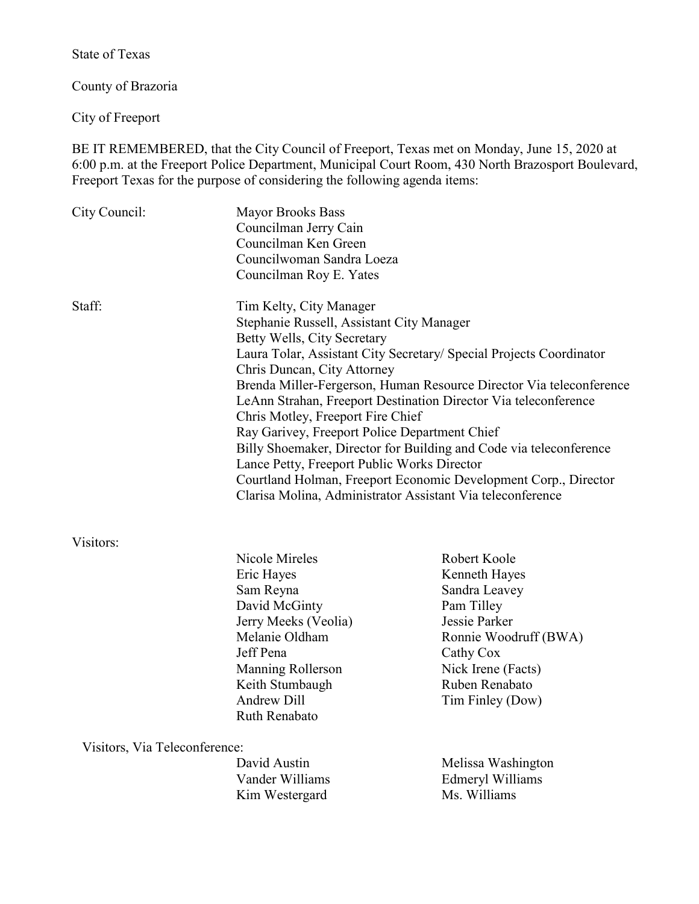State of Texas

County of Brazoria

City of Freeport

BE IT REMEMBERED, that the City Council of Freeport, Texas met on Monday, June 15, 2020 at 6:00 p.m. at the Freeport Police Department, Municipal Court Room, 430 North Brazosport Boulevard, Freeport Texas for the purpose of considering the following agenda items:

| City Council:                 | <b>Mayor Brooks Bass</b><br>Councilman Jerry Cain<br>Councilman Ken Green<br>Councilwoman Sandra Loeza<br>Councilman Roy E. Yates<br>Tim Kelty, City Manager<br>Stephanie Russell, Assistant City Manager<br>Betty Wells, City Secretary<br>Laura Tolar, Assistant City Secretary/ Special Projects Coordinator<br>Chris Duncan, City Attorney<br>Brenda Miller-Fergerson, Human Resource Director Via teleconference<br>LeAnn Strahan, Freeport Destination Director Via teleconference<br>Chris Motley, Freeport Fire Chief<br>Ray Garivey, Freeport Police Department Chief<br>Billy Shoemaker, Director for Building and Code via teleconference<br>Lance Petty, Freeport Public Works Director<br>Courtland Holman, Freeport Economic Development Corp., Director<br>Clarisa Molina, Administrator Assistant Via teleconference |                                      |
|-------------------------------|--------------------------------------------------------------------------------------------------------------------------------------------------------------------------------------------------------------------------------------------------------------------------------------------------------------------------------------------------------------------------------------------------------------------------------------------------------------------------------------------------------------------------------------------------------------------------------------------------------------------------------------------------------------------------------------------------------------------------------------------------------------------------------------------------------------------------------------|--------------------------------------|
|                               |                                                                                                                                                                                                                                                                                                                                                                                                                                                                                                                                                                                                                                                                                                                                                                                                                                      |                                      |
| Staff:                        |                                                                                                                                                                                                                                                                                                                                                                                                                                                                                                                                                                                                                                                                                                                                                                                                                                      |                                      |
| Visitors:                     |                                                                                                                                                                                                                                                                                                                                                                                                                                                                                                                                                                                                                                                                                                                                                                                                                                      |                                      |
|                               | Nicole Mireles                                                                                                                                                                                                                                                                                                                                                                                                                                                                                                                                                                                                                                                                                                                                                                                                                       | Robert Koole                         |
|                               | Eric Hayes                                                                                                                                                                                                                                                                                                                                                                                                                                                                                                                                                                                                                                                                                                                                                                                                                           | Kenneth Hayes                        |
|                               | Sam Reyna                                                                                                                                                                                                                                                                                                                                                                                                                                                                                                                                                                                                                                                                                                                                                                                                                            | Sandra Leavey                        |
|                               | David McGinty                                                                                                                                                                                                                                                                                                                                                                                                                                                                                                                                                                                                                                                                                                                                                                                                                        | Pam Tilley                           |
|                               | Jerry Meeks (Veolia)                                                                                                                                                                                                                                                                                                                                                                                                                                                                                                                                                                                                                                                                                                                                                                                                                 | Jessie Parker                        |
|                               | Melanie Oldham                                                                                                                                                                                                                                                                                                                                                                                                                                                                                                                                                                                                                                                                                                                                                                                                                       | Ronnie Woodruff (BWA)                |
|                               | Jeff Pena                                                                                                                                                                                                                                                                                                                                                                                                                                                                                                                                                                                                                                                                                                                                                                                                                            | Cathy Cox                            |
|                               | Manning Rollerson<br>Keith Stumbaugh                                                                                                                                                                                                                                                                                                                                                                                                                                                                                                                                                                                                                                                                                                                                                                                                 | Nick Irene (Facts)<br>Ruben Renabato |
|                               | <b>Andrew Dill</b>                                                                                                                                                                                                                                                                                                                                                                                                                                                                                                                                                                                                                                                                                                                                                                                                                   | Tim Finley (Dow)                     |
|                               | Ruth Renabato                                                                                                                                                                                                                                                                                                                                                                                                                                                                                                                                                                                                                                                                                                                                                                                                                        |                                      |
| Visitors, Via Teleconference: |                                                                                                                                                                                                                                                                                                                                                                                                                                                                                                                                                                                                                                                                                                                                                                                                                                      |                                      |
|                               | David Austin                                                                                                                                                                                                                                                                                                                                                                                                                                                                                                                                                                                                                                                                                                                                                                                                                         | Melissa Washington                   |
|                               | Vander Williams                                                                                                                                                                                                                                                                                                                                                                                                                                                                                                                                                                                                                                                                                                                                                                                                                      | Edmeryl Williams                     |
|                               | Kim Westergard                                                                                                                                                                                                                                                                                                                                                                                                                                                                                                                                                                                                                                                                                                                                                                                                                       | Ms. Williams                         |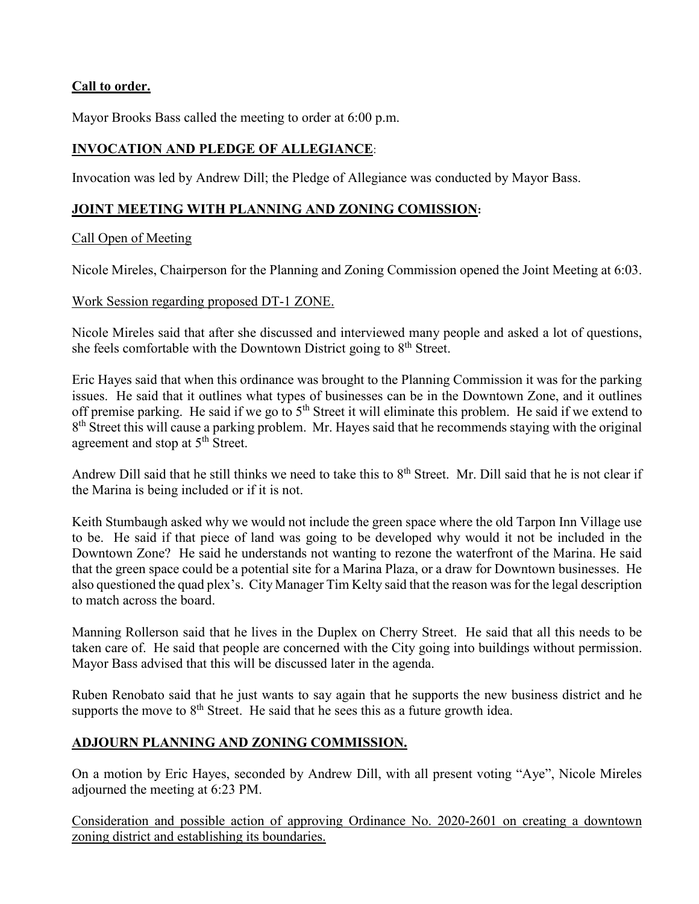# **Call to order.**

Mayor Brooks Bass called the meeting to order at 6:00 p.m.

# **INVOCATION AND PLEDGE OF ALLEGIANCE**:

Invocation was led by Andrew Dill; the Pledge of Allegiance was conducted by Mayor Bass.

## **JOINT MEETING WITH PLANNING AND ZONING COMISSION:**

## Call Open of Meeting

Nicole Mireles, Chairperson for the Planning and Zoning Commission opened the Joint Meeting at 6:03.

## Work Session regarding proposed DT-1 ZONE.

Nicole Mireles said that after she discussed and interviewed many people and asked a lot of questions, she feels comfortable with the Downtown District going to  $8<sup>th</sup>$  Street.

Eric Hayes said that when this ordinance was brought to the Planning Commission it was for the parking issues. He said that it outlines what types of businesses can be in the Downtown Zone, and it outlines off premise parking. He said if we go to  $5<sup>th</sup>$  Street it will eliminate this problem. He said if we extend to 8<sup>th</sup> Street this will cause a parking problem. Mr. Hayes said that he recommends staying with the original agreement and stop at 5<sup>th</sup> Street.

Andrew Dill said that he still thinks we need to take this to  $8<sup>th</sup>$  Street. Mr. Dill said that he is not clear if the Marina is being included or if it is not.

Keith Stumbaugh asked why we would not include the green space where the old Tarpon Inn Village use to be. He said if that piece of land was going to be developed why would it not be included in the Downtown Zone? He said he understands not wanting to rezone the waterfront of the Marina. He said that the green space could be a potential site for a Marina Plaza, or a draw for Downtown businesses. He also questioned the quad plex's. City Manager Tim Kelty said that the reason was for the legal description to match across the board.

Manning Rollerson said that he lives in the Duplex on Cherry Street. He said that all this needs to be taken care of. He said that people are concerned with the City going into buildings without permission. Mayor Bass advised that this will be discussed later in the agenda.

Ruben Renobato said that he just wants to say again that he supports the new business district and he supports the move to  $8<sup>th</sup>$  Street. He said that he sees this as a future growth idea.

# **ADJOURN PLANNING AND ZONING COMMISSION.**

On a motion by Eric Hayes, seconded by Andrew Dill, with all present voting "Aye", Nicole Mireles adjourned the meeting at 6:23 PM.

Consideration and possible action of approving Ordinance No. 2020-2601 on creating a downtown zoning district and establishing its boundaries.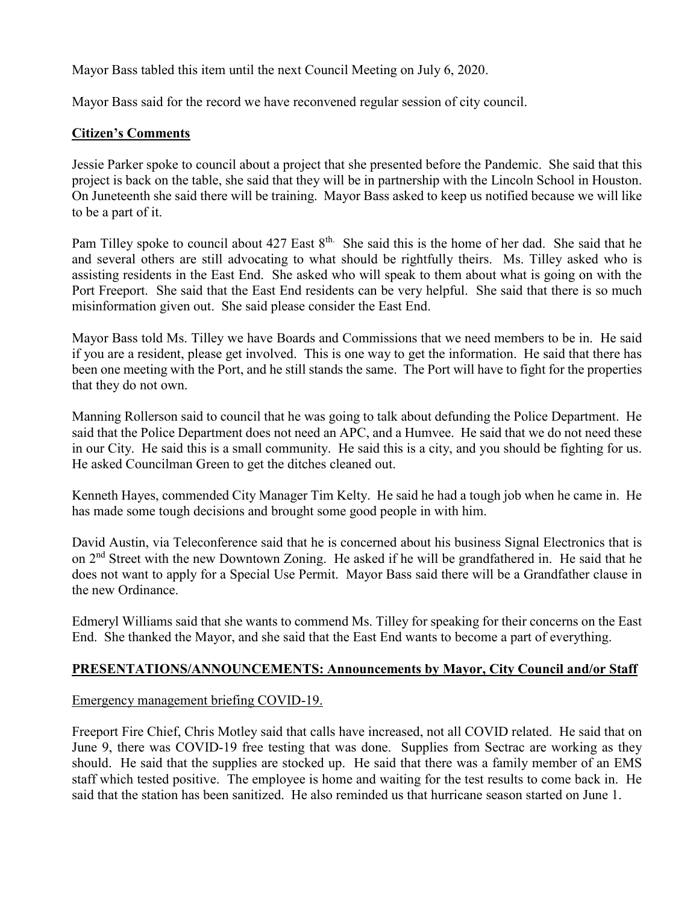Mayor Bass tabled this item until the next Council Meeting on July 6, 2020.

Mayor Bass said for the record we have reconvened regular session of city council.

### **Citizen's Comments**

Jessie Parker spoke to council about a project that she presented before the Pandemic. She said that this project is back on the table, she said that they will be in partnership with the Lincoln School in Houston. On Juneteenth she said there will be training. Mayor Bass asked to keep us notified because we will like to be a part of it.

Pam Tilley spoke to council about 427 East 8<sup>th.</sup> She said this is the home of her dad. She said that he and several others are still advocating to what should be rightfully theirs. Ms. Tilley asked who is assisting residents in the East End. She asked who will speak to them about what is going on with the Port Freeport. She said that the East End residents can be very helpful. She said that there is so much misinformation given out. She said please consider the East End.

Mayor Bass told Ms. Tilley we have Boards and Commissions that we need members to be in. He said if you are a resident, please get involved. This is one way to get the information. He said that there has been one meeting with the Port, and he still stands the same. The Port will have to fight for the properties that they do not own.

Manning Rollerson said to council that he was going to talk about defunding the Police Department. He said that the Police Department does not need an APC, and a Humvee. He said that we do not need these in our City. He said this is a small community. He said this is a city, and you should be fighting for us. He asked Councilman Green to get the ditches cleaned out.

Kenneth Hayes, commended City Manager Tim Kelty. He said he had a tough job when he came in. He has made some tough decisions and brought some good people in with him.

David Austin, via Teleconference said that he is concerned about his business Signal Electronics that is on 2<sup>nd</sup> Street with the new Downtown Zoning. He asked if he will be grandfathered in. He said that he does not want to apply for a Special Use Permit. Mayor Bass said there will be a Grandfather clause in the new Ordinance.

Edmeryl Williams said that she wants to commend Ms. Tilley for speaking for their concerns on the East End. She thanked the Mayor, and she said that the East End wants to become a part of everything.

## **PRESENTATIONS/ANNOUNCEMENTS: Announcements by Mayor, City Council and/or Staff**

#### Emergency management briefing COVID-19.

Freeport Fire Chief, Chris Motley said that calls have increased, not all COVID related. He said that on June 9, there was COVID-19 free testing that was done. Supplies from Sectrac are working as they should. He said that the supplies are stocked up. He said that there was a family member of an EMS staff which tested positive. The employee is home and waiting for the test results to come back in. He said that the station has been sanitized. He also reminded us that hurricane season started on June 1.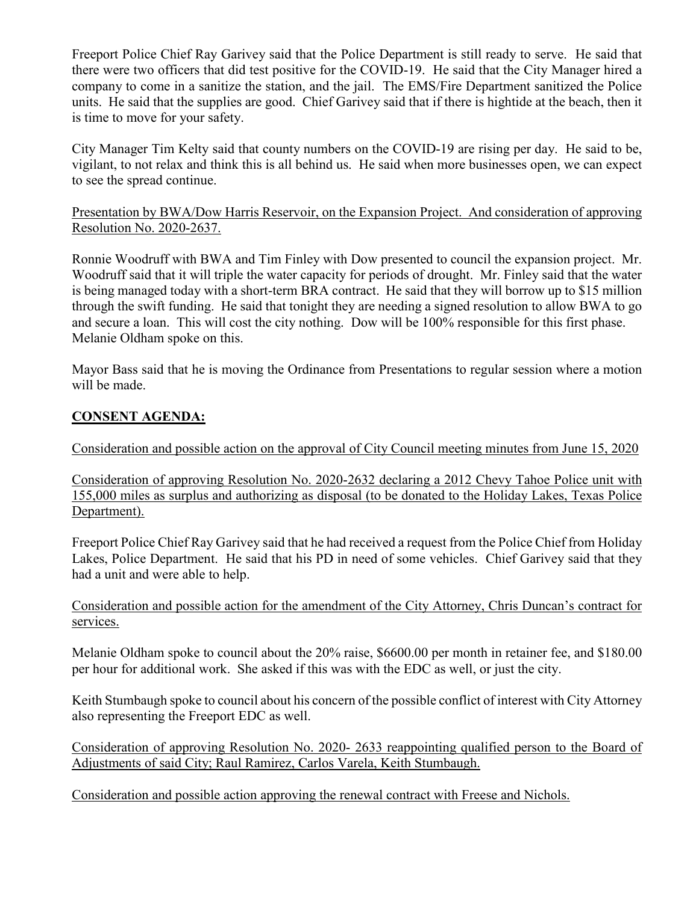Freeport Police Chief Ray Garivey said that the Police Department is still ready to serve. He said that there were two officers that did test positive for the COVID-19. He said that the City Manager hired a company to come in a sanitize the station, and the jail. The EMS/Fire Department sanitized the Police units. He said that the supplies are good. Chief Garivey said that if there is hightide at the beach, then it is time to move for your safety.

City Manager Tim Kelty said that county numbers on the COVID-19 are rising per day. He said to be, vigilant, to not relax and think this is all behind us. He said when more businesses open, we can expect to see the spread continue.

Presentation by BWA/Dow Harris Reservoir, on the Expansion Project. And consideration of approving Resolution No. 2020-2637.

Ronnie Woodruff with BWA and Tim Finley with Dow presented to council the expansion project. Mr. Woodruff said that it will triple the water capacity for periods of drought. Mr. Finley said that the water is being managed today with a short-term BRA contract. He said that they will borrow up to \$15 million through the swift funding. He said that tonight they are needing a signed resolution to allow BWA to go and secure a loan. This will cost the city nothing. Dow will be 100% responsible for this first phase. Melanie Oldham spoke on this.

Mayor Bass said that he is moving the Ordinance from Presentations to regular session where a motion will be made.

# **CONSENT AGENDA:**

Consideration and possible action on the approval of City Council meeting minutes from June 15, 2020

Consideration of approving Resolution No. 2020-2632 declaring a 2012 Chevy Tahoe Police unit with 155,000 miles as surplus and authorizing as disposal (to be donated to the Holiday Lakes, Texas Police Department).

Freeport Police Chief Ray Garivey said that he had received a request from the Police Chief from Holiday Lakes, Police Department. He said that his PD in need of some vehicles. Chief Garivey said that they had a unit and were able to help.

Consideration and possible action for the amendment of the City Attorney, Chris Duncan's contract for services.

Melanie Oldham spoke to council about the 20% raise, \$6600.00 per month in retainer fee, and \$180.00 per hour for additional work. She asked if this was with the EDC as well, or just the city.

Keith Stumbaugh spoke to council about his concern of the possible conflict of interest with City Attorney also representing the Freeport EDC as well.

Consideration of approving Resolution No. 2020- 2633 reappointing qualified person to the Board of Adjustments of said City; Raul Ramirez, Carlos Varela, Keith Stumbaugh.

Consideration and possible action approving the renewal contract with Freese and Nichols.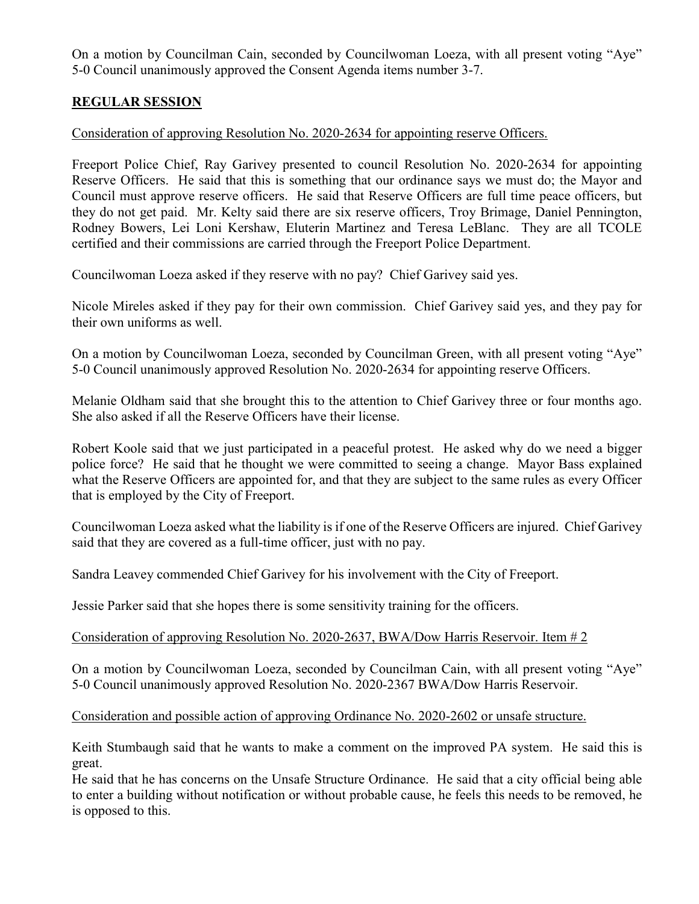On a motion by Councilman Cain, seconded by Councilwoman Loeza, with all present voting "Aye" 5-0 Council unanimously approved the Consent Agenda items number 3-7.

# **REGULAR SESSION**

#### Consideration of approving Resolution No. 2020-2634 for appointing reserve Officers.

Freeport Police Chief, Ray Garivey presented to council Resolution No. 2020-2634 for appointing Reserve Officers. He said that this is something that our ordinance says we must do; the Mayor and Council must approve reserve officers. He said that Reserve Officers are full time peace officers, but they do not get paid. Mr. Kelty said there are six reserve officers, Troy Brimage, Daniel Pennington, Rodney Bowers, Lei Loni Kershaw, Eluterin Martinez and Teresa LeBlanc. They are all TCOLE certified and their commissions are carried through the Freeport Police Department.

Councilwoman Loeza asked if they reserve with no pay? Chief Garivey said yes.

Nicole Mireles asked if they pay for their own commission. Chief Garivey said yes, and they pay for their own uniforms as well.

On a motion by Councilwoman Loeza, seconded by Councilman Green, with all present voting "Aye" 5-0 Council unanimously approved Resolution No. 2020-2634 for appointing reserve Officers.

Melanie Oldham said that she brought this to the attention to Chief Garivey three or four months ago. She also asked if all the Reserve Officers have their license.

Robert Koole said that we just participated in a peaceful protest. He asked why do we need a bigger police force? He said that he thought we were committed to seeing a change. Mayor Bass explained what the Reserve Officers are appointed for, and that they are subject to the same rules as every Officer that is employed by the City of Freeport.

Councilwoman Loeza asked what the liability is if one of the Reserve Officers are injured. Chief Garivey said that they are covered as a full-time officer, just with no pay.

Sandra Leavey commended Chief Garivey for his involvement with the City of Freeport.

Jessie Parker said that she hopes there is some sensitivity training for the officers.

#### Consideration of approving Resolution No. 2020-2637, BWA/Dow Harris Reservoir. Item # 2

On a motion by Councilwoman Loeza, seconded by Councilman Cain, with all present voting "Aye" 5-0 Council unanimously approved Resolution No. 2020-2367 BWA/Dow Harris Reservoir.

#### Consideration and possible action of approving Ordinance No. 2020-2602 or unsafe structure.

Keith Stumbaugh said that he wants to make a comment on the improved PA system. He said this is great.

He said that he has concerns on the Unsafe Structure Ordinance. He said that a city official being able to enter a building without notification or without probable cause, he feels this needs to be removed, he is opposed to this.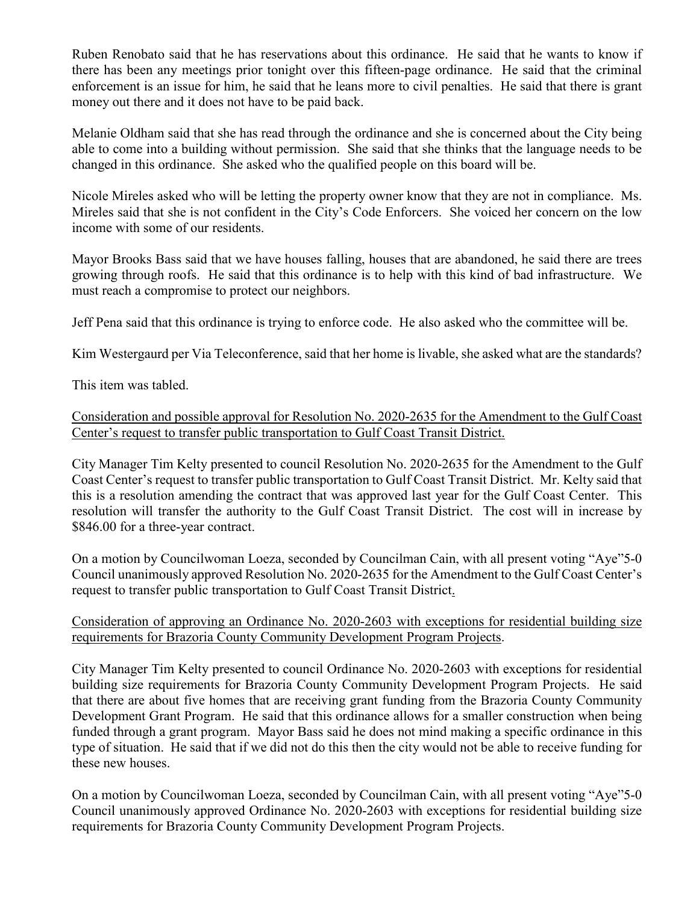Ruben Renobato said that he has reservations about this ordinance. He said that he wants to know if there has been any meetings prior tonight over this fifteen-page ordinance. He said that the criminal enforcement is an issue for him, he said that he leans more to civil penalties. He said that there is grant money out there and it does not have to be paid back.

Melanie Oldham said that she has read through the ordinance and she is concerned about the City being able to come into a building without permission. She said that she thinks that the language needs to be changed in this ordinance. She asked who the qualified people on this board will be.

Nicole Mireles asked who will be letting the property owner know that they are not in compliance. Ms. Mireles said that she is not confident in the City's Code Enforcers. She voiced her concern on the low income with some of our residents.

Mayor Brooks Bass said that we have houses falling, houses that are abandoned, he said there are trees growing through roofs. He said that this ordinance is to help with this kind of bad infrastructure. We must reach a compromise to protect our neighbors.

Jeff Pena said that this ordinance is trying to enforce code. He also asked who the committee will be.

Kim Westergaurd per Via Teleconference, said that her home is livable, she asked what are the standards?

This item was tabled.

### Consideration and possible approval for Resolution No. 2020-2635 for the Amendment to the Gulf Coast Center's request to transfer public transportation to Gulf Coast Transit District.

City Manager Tim Kelty presented to council Resolution No. 2020-2635 for the Amendment to the Gulf Coast Center's request to transfer public transportation to Gulf Coast Transit District. Mr. Kelty said that this is a resolution amending the contract that was approved last year for the Gulf Coast Center. This resolution will transfer the authority to the Gulf Coast Transit District. The cost will in increase by \$846.00 for a three-year contract.

On a motion by Councilwoman Loeza, seconded by Councilman Cain, with all present voting "Aye"5-0 Council unanimously approved Resolution No. 2020-2635 for the Amendment to the Gulf Coast Center's request to transfer public transportation to Gulf Coast Transit District.

### Consideration of approving an Ordinance No. 2020-2603 with exceptions for residential building size requirements for Brazoria County Community Development Program Projects.

City Manager Tim Kelty presented to council Ordinance No. 2020-2603 with exceptions for residential building size requirements for Brazoria County Community Development Program Projects. He said that there are about five homes that are receiving grant funding from the Brazoria County Community Development Grant Program. He said that this ordinance allows for a smaller construction when being funded through a grant program. Mayor Bass said he does not mind making a specific ordinance in this type of situation. He said that if we did not do this then the city would not be able to receive funding for these new houses.

On a motion by Councilwoman Loeza, seconded by Councilman Cain, with all present voting "Aye"5-0 Council unanimously approved Ordinance No. 2020-2603 with exceptions for residential building size requirements for Brazoria County Community Development Program Projects.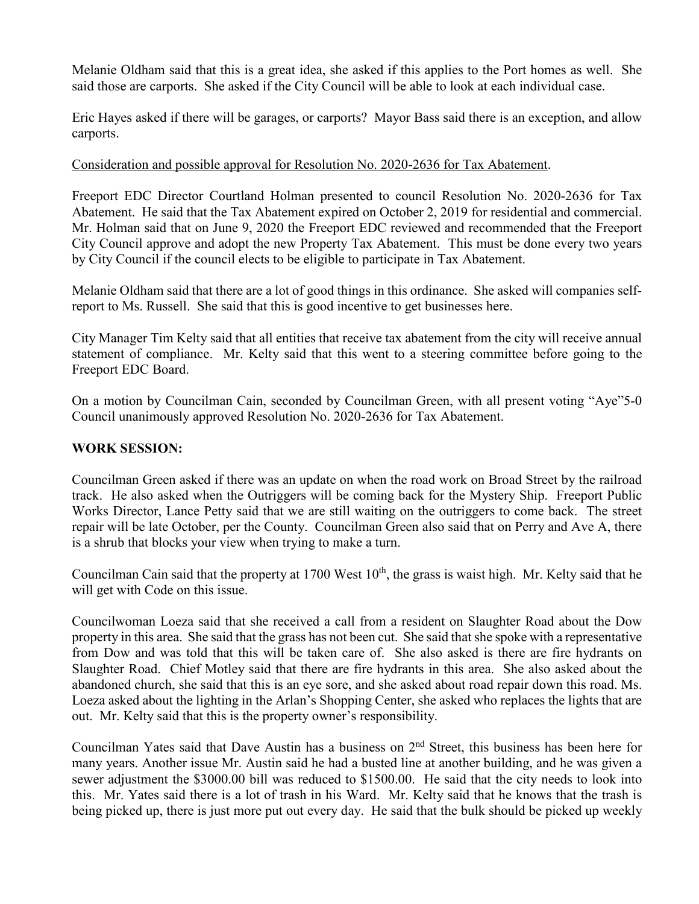Melanie Oldham said that this is a great idea, she asked if this applies to the Port homes as well. She said those are carports. She asked if the City Council will be able to look at each individual case.

Eric Hayes asked if there will be garages, or carports? Mayor Bass said there is an exception, and allow carports.

#### Consideration and possible approval for Resolution No. 2020-2636 for Tax Abatement.

Freeport EDC Director Courtland Holman presented to council Resolution No. 2020-2636 for Tax Abatement. He said that the Tax Abatement expired on October 2, 2019 for residential and commercial. Mr. Holman said that on June 9, 2020 the Freeport EDC reviewed and recommended that the Freeport City Council approve and adopt the new Property Tax Abatement. This must be done every two years by City Council if the council elects to be eligible to participate in Tax Abatement.

Melanie Oldham said that there are a lot of good things in this ordinance. She asked will companies selfreport to Ms. Russell. She said that this is good incentive to get businesses here.

City Manager Tim Kelty said that all entities that receive tax abatement from the city will receive annual statement of compliance. Mr. Kelty said that this went to a steering committee before going to the Freeport EDC Board.

On a motion by Councilman Cain, seconded by Councilman Green, with all present voting "Aye"5-0 Council unanimously approved Resolution No. 2020-2636 for Tax Abatement.

#### **WORK SESSION:**

Councilman Green asked if there was an update on when the road work on Broad Street by the railroad track. He also asked when the Outriggers will be coming back for the Mystery Ship. Freeport Public Works Director, Lance Petty said that we are still waiting on the outriggers to come back. The street repair will be late October, per the County. Councilman Green also said that on Perry and Ave A, there is a shrub that blocks your view when trying to make a turn.

Councilman Cain said that the property at 1700 West  $10<sup>th</sup>$ , the grass is waist high. Mr. Kelty said that he will get with Code on this issue.

Councilwoman Loeza said that she received a call from a resident on Slaughter Road about the Dow property in this area. She said that the grass has not been cut. She said that she spoke with a representative from Dow and was told that this will be taken care of. She also asked is there are fire hydrants on Slaughter Road. Chief Motley said that there are fire hydrants in this area. She also asked about the abandoned church, she said that this is an eye sore, and she asked about road repair down this road. Ms. Loeza asked about the lighting in the Arlan's Shopping Center, she asked who replaces the lights that are out. Mr. Kelty said that this is the property owner's responsibility.

Councilman Yates said that Dave Austin has a business on  $2<sup>nd</sup>$  Street, this business has been here for many years. Another issue Mr. Austin said he had a busted line at another building, and he was given a sewer adjustment the \$3000.00 bill was reduced to \$1500.00. He said that the city needs to look into this. Mr. Yates said there is a lot of trash in his Ward. Mr. Kelty said that he knows that the trash is being picked up, there is just more put out every day. He said that the bulk should be picked up weekly